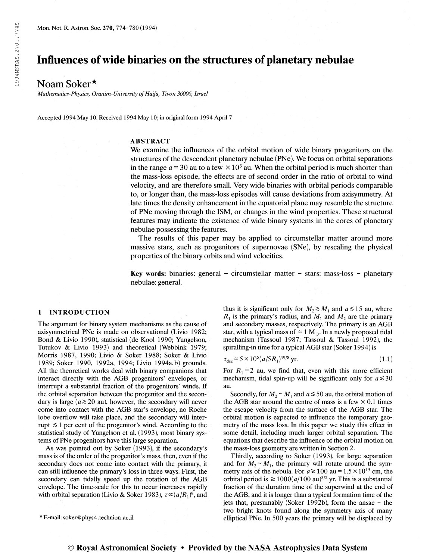# Influences of wide binaries on the structures of planetary nebulae

## Noam Soker\*

Mathematics-Physics, Oranim-University of Haifa, Tivon 36006, Israel

Accepted 1994 May 10. Received 1994 May 10; in original form 1994 April 7

## ABSTRACT

We examine the influences of the orbital motion of wide binary progenitors on the structures of the descendent planetary nebulae (PNe). We focus on orbital separations in the range  $a \approx 30$  au to a few  $\times 10^3$  au. When the orbital period is much shorter than the mass-loss episode, the effects are of second order in the ratio of orbital to wind velocity, and are therefore small. Very wide binaries with orbital periods comparable to, or longer than, the mass-loss episodes will cause deviations from axisymmetry. At late times the density enhancement in the equatorial plane may resemble the structure of PNe moving through the ISM, or changes in the wind properties. These structural features may indicate the existence of wide binary systems in the cores of planetary nebulae possessing the features.

The results of this paper may be applied to circumstellar matter around more massive stars, such as progenitors of supernovae (SNe), by rescaling the physical properties of the binary orbits and wind velocities.

Key words: binaries: general – circumstellar matter – stars: mass-loss – planetary nebulae: general.

## <sup>1</sup> INTRODUCTION

The argument for binary system mechanisms as the cause of axisymmetrical PNe is made on observational (Livio 1982; Bond & Livio 1990), statistical (de Kool 1990; Yungelson, Tutukov & Livio 1993) and theoretical (Webbink 1979; Morris 1987, 1990; Livio & Soker 1988; Soker & Livio 1989; Soker 1990, 1992a, 1994; Livio 1994a,b) grounds. All the theoretical works deal with binary companions that interact directly with the AGB progenitors' envelopes, or interrupt a substantial fraction of the progenitors' winds. If the orbital separation between the progenitor and the secondary is large ( $a \ge 20$  au), however, the secondary will never come into contact with the AGB star's envelope, no Roche lobe overflow will take place, and the secondary will interrupt  $\leq 1$  per cent of the progenitor's wind. According to the statistical study of Yungelson et al. (1993), most binary systems of PNe progenitors have this large separation.

As was pointed out by Soker (1993), if the secondary's mass is of the order of the progenitor's mass, then, even if the secondary does not come into contact with the primary, it can still influence the primary's loss in three ways. First, the secondary can tidally speed up the rotation of the AGB envelope. The time-scale for this to occur increases rapidly with orbital separation (Livio & Soker 1983),  $\tau \propto (a/R_1)^8$ , and

^ E-mail: soker@ phys4.technion.ac.il

thus it is significant only for  $M_2 \ge M_1$  and  $a \le 15$  au, where  $R_1$  is the primary's radius, and  $M_1$  and  $M_2$  are the primary and secondary masses, respectively. The primary is an AGB star, with a typical mass of  $\simeq 1 \text{ M}_{\odot}$ . In a newly proposed tidal mechanism (Tassoul 1987; Tassoul & Tassoul 1992), the spiralling-in time for a typical AGB star (Soker 1994) is

$$
\tau_{\text{dec}} \approx 5 \times 10^5 (a/5R_1)^{49/8} \text{ yr.}
$$
 (1.1)

For  $R_1=2$  au, we find that, even with this more efficient mechanism, tidal spin-up will be significant only for  $a \le 30$ au.

Secondly, for  $M_2 \sim M_1$  and  $a \le 50$  au, the orbital motion of the AGB star around the centre of mass is a few  $\times$  0.1 times the escape velocity from the surface of the AGB star. The orbital motion is expected to influence the temporary geometry of the mass loss. In this paper we study this effect in some detail, including much larger orbital separation. The equations that describe the influence of the orbital motion on the mass-loss geometry are written in Section 2.

Thirdly, according to Soker (1993), for large separation and for  $M_2 \sim M_1$ , the primary will rotate around the symmetry axis of the nebula. For  $a \ge 100$  au =  $1.5 \times 10^{15}$  cm, the orbital period is  $\geq 1000(a/100 \text{ au})^{3/2}$  yr. This is a substantial fraction of the duration time of the superwind at the end of the AGB, and it is longer than a typical formation time of the jets that, presumably (Soker 1992b), form the ansae - the two bright knots found along the symmetry axis of many elliptical PNe. In 500 years the primary will be displaced by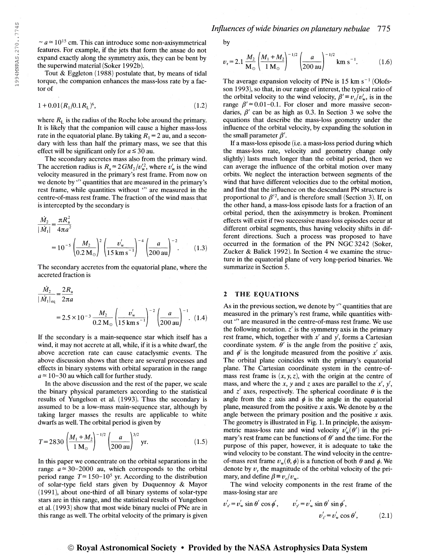$\sim a \approx 10^{15}$  cm. This can introduce some non-axisymmetrical features. For example, if the jets that form the ansae do not expand exactly along the symmetry axis, they can be bent by the superwind material (Soker 1992b).

Tout & Eggleton (1988) postulate that, by means of tidal torque, the companion enhances the mass-loss rate by a factor of

$$
1 + 0.01(R_1/0.1R_L)^6, \tag{1.2}
$$

where  $R_L$  is the radius of the Roche lobe around the primary. It is likely that the companion will cause a higher mass-loss rate in the equatorial plane. By taking  $R_1 = 2$  au, and a secondary with less than half the primary mass, we see that this effect will be significant only for  $a \le 30$  au.

The secondary accretes mass also from the primary wind. The accretion radius is  $R_a \approx 2GM_2/v_w^2$ , where  $v_w$  is the wind velocity measured in the primary's rest frame. From now on we denote by " quantities that are measured in the primary's rest frame, while quantities without " are measured in the centre-of-mass rest frame. The fraction of the wind mass that is intercepted by the secondary is

$$
\frac{\dot{M}_2}{|\dot{M}_1|} = \frac{\pi R_a^2}{4\pi a^2}
$$
  
=  $10^{-5} \left(\frac{M_2}{0.2 M_\odot}\right)^2 \left(\frac{v_w'}{15 \text{ km s}^{-1}}\right)^{-4} \left(\frac{a}{200 \text{ au}}\right)^{-2}$ . (1.3)

The secondary accretes from the equatorial plane, where the accreted fraction is

$$
\frac{\dot{M}_2}{|\dot{M}_1|_{\text{eq}}} = \frac{2R_a}{2\pi a}
$$
  
= 2.5 × 10<sup>-3</sup>  $\frac{M_2}{0.2 \text{ M}_\odot} \left(\frac{v_w'}{15 \text{ km s}^{-1}}\right)^{-2} \left(\frac{a}{200 \text{ au}}\right)^{-1}$ . (1.4)

If the secondary is a main-sequence star which itself has a wind, it may not accrete at all, while, if it is a white dwarf, the above accretion rate can cause cataclysmic events. The above discussion shows that there are several processes and effects in binary systems with orbital separation in the range  $a \approx 10-30$  au which call for further study.

In the above discussion and the rest of the paper, we scale the binary physical parameters according to the statistical results of Yungelson et al. (1993). Thus the secondary is assumed to be a low-mass main-sequence star, although by taking larger masses the results are applicable to white dwarfs as well. The orbital period is given by

$$
T = 2830 \left(\frac{M_1 + M_2}{1 \text{ M}_\odot}\right)^{-1/2} \left(\frac{a}{200 \text{ au}}\right)^{3/2} \text{ yr.}
$$
 (1.5)

In this paper we concentrate on the orbital separations in the range  $a \approx 30-2000$  au, which corresponds to the orbital period range  $T \approx 150-10^5$  yr. According to the distribution of solar-type field stars given by Duquennoy & Mayor (1991), about one-third of all binary systems of solar-type stars are in this range, and the statistical results of Yungelson et al. ( 1993) show that most wide binary nuclei of PNe are in this range as well. The orbital velocity of the primary is given by

$$
v_r = 2.1 \frac{M_2}{\mathrm{M}_\odot} \left(\frac{M_1 + M_2}{1 \mathrm{M}_\odot}\right)^{-1/2} \left(\frac{a}{200 \mathrm{au}}\right)^{-1/2} \mathrm{km \ s}^{-1}.
$$
 (1.6)

The average expansion velocity of PNe is  $15 \text{ km s}^{-1}$  (Olofsson 1993), so that, in our range of interest, the typical ratio of the orbital velocity to the wind velocity,  $\beta' \equiv v_r/v_w$ , is in the range  $\beta' \approx 0.01$ -0.1. For closer and more massive secondaries,  $\beta'$  can be as high as 0.3. In Section 3 we solve the equations that describe the mass-loss geometry under the influence of the orbital velocity, by expanding the solution in the small parameter  $\beta'$ .

If a mass-loss episode (i.e. a mass-loss period during which the mass-loss rate, velocity and geometry change only slightly) lasts much longer than the orbital period, then we can average the influence of the orbital motion over many orbits. We neglect the interaction between segments of the wind that have different velocities due to the orbital motion, and find that the influence on the descendant PN structure is proportional to  $\beta^2$ , and is therefore small (Section 3). If, on the other hand, a mass-loss episode lasts for a fraction of an orbital period, then the axisymmetry is broken. Prominent effects will exist if two successive mass-loss episodes occur at different orbital segments, thus having velocity shifts in different directions. Such a process was proposed to have occurred in the formation of the PN NGC3242 (Soker, Zucker & Balick 1992). In Section 4 we examine the structure in the equatorial plane of very long-period binaries. We summarize in Section 5.

## 2 THE EQUATIONS

As in the previous section, we denote by " quantities that are measured in the primary's rest frame, while quantities without " are measured in the centre-of-mass rest frame. We use the following notation.  $z'$  is the symmetry axis in the primary rest frame, which, together with  $x'$  and  $y'$ , forms a Cartesian coordinate system.  $\theta'$  is the angle from the positive z' axis, and  $\phi'$  is the longitude measured from the positive x' axis. The orbital plane coincides with the primary's equatorial plane. The Cartesian coordinate system in the centre-ofmass rest frame is  $(x, y, z)$ , with the origin at the centre of mass, and where the x, y and z axes are parallel to the x', y', and  $z'$  axes, respectively. The spherical coordinate  $\theta$  is the angle from the z axis and  $\phi$  is the angle in the equatorial plane, measured from the positive x axis. We denote by  $\alpha$  the angle between the primary position and the positive  $x$  axis. The geometry is illustrated in Fig. 1. In principle, the axisymmetric mass-loss rate and wind velocity  $v'_{w}(\theta')$  in the primary's rest frame can be functions of  $\theta'$  and the time. For the purpose of this paper, however, it is adequate to take the wind velocity to be constant. The wind velocity in the centreof-mass rest frame  $v_w(\theta, \phi)$  is a function of both  $\theta$  and  $\phi$ . We denote by  $v_r$ , the magnitude of the orbital velocity of the primary, and define  $\beta \equiv v_r/v_w$ .

The wind velocity components in the rest frame of the mass-losing star are

$$
v'_{x'} = v'_{w} \sin \theta' \cos \phi', \qquad v'_{y'} = v'_{w} \sin \theta' \sin \phi',
$$
  

$$
v'_{z'} = v'_{w} \cos \theta', \qquad (2.1)
$$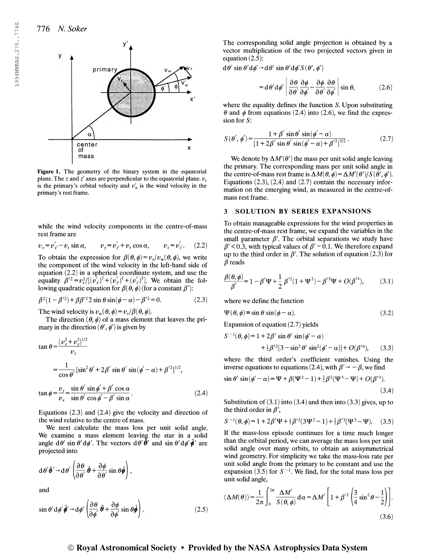

Figure 1. The geometry of the binary system in the equatorial plane. The z and z' axes are perpendicular to the equatorial plane.  $v<sub>r</sub>$ is the primary's orbital velocity and  $v'_{w}$  is the wind velocity in the primary's rest frame.

while the wind velocity components in the centre-of-mass rest frame are

$$
v_x = v'_x - v_r \sin \alpha
$$
,  $v_y = v'_y + v_r \cos \alpha$ ,  $v_z = v'_z$ . (2.2)

To obtain the expression for  $\beta(\theta, \phi) = v_r/v_w(\theta, \phi)$ , we write the component of the wind velocity in the left-hand side of equation (2.2) in a spherical coordinate system, and use the equality  $\beta'^2 = v_r^2/[(v'_x)^2 + (v'_y)^2 + (v'_z)^2]$ . We obtain the following quadratic equation for  $\beta(\theta, \phi)$  (for a constant  $\beta'$ ):

$$
\beta^{2}(1 - \beta'^{2}) + \beta \beta'^{2} 2 \sin \theta \sin(\phi - \alpha) - \beta'^{2} = 0.
$$
 (2.3)

The wind velocity is  $v_w(\theta, \phi) = v_r/\beta(\theta, \phi)$ .

The direction  $(\theta, \phi)$  of a mass element that leaves the primary in the direction  $(\theta', \phi')$  is given by

$$
\tan \theta = \frac{(v_x^2 + v_y^2)^{1/2}}{v_z}
$$
  
=  $\frac{1}{\cos \theta}$  [sin<sup>2</sup>  $\theta'$  + 2 $\beta'$  sin  $\theta'$  sin $(\phi' - \alpha)$  +  $\beta'^2$ ]<sup>1/2</sup>,  
 $\tan \phi = \frac{v_y}{v_x} = \frac{\sin \theta' \sin \phi' + \beta' \cos \alpha}{\sin \theta' \cos \phi' - \beta' \sin \alpha}$ . (2.4)

Equations (2.3) and (2.4) give the velocity and direction of the wind relative to the centre of mass.

We next calculate the mass loss per unit solid angle. We examine a mass element leaving the star in a solid angle  $d\theta'$  sin  $\theta' d\phi'$ . The vectors  $d\theta' \hat{\theta}'$  and sin  $\theta' d\phi' \hat{\phi}'$  are projected into

$$
d\theta' \hat{\theta}' \rightarrow d\theta' \left( \frac{\partial \theta}{\partial \theta'} \hat{\theta} + \frac{\partial \phi}{\partial \theta'} \sin \theta \hat{\phi} \right),
$$
  
and

$$
\sin \theta' \, d\phi' \, \hat{\phi}' \to d\phi' \left( \frac{\partial \theta}{\partial \phi'} \, \hat{\theta} + \frac{\partial \phi}{\partial \phi'} \sin \theta \, \hat{\phi} \right). \tag{2.5}
$$

The corresponding solid angle projection is obtained by a vector multiplication of the two projected vectors given in equation (2.5):

 $d\theta'$  sin  $\theta' d\phi' \rightarrow d\theta'$  sin  $\theta' d\phi' S(\theta', \phi')$ 

$$
= d\theta' d\phi' \left| \frac{\partial \theta}{\partial \theta'} \frac{\partial \phi}{\partial \phi'} - \frac{\partial \phi}{\partial \theta'} \frac{\partial \theta}{\partial \phi'} \right| \sin \theta, \tag{2.6}
$$

where the equality defines the function S. Upon substituting  $\theta$  and  $\phi$  from equations (2.4) into (2.6), we find the expression for  $S$ :

$$
S(\theta', \phi') = \frac{1 + \beta' \sin \theta' \sin(\phi' - \alpha)}{[1 + 2\beta' \sin \theta' \sin(\phi' - \alpha) + \beta'^2]^{3/2}}.
$$
 (2.7)

We denote by  $\Delta M'(\theta')$  the mass per unit solid angle leaving the primary. The corresponding mass per unit solid angle in the centre-of-mass rest frame is  $\Delta M(\theta, \phi) = \Delta M'(\theta')/S(\theta', \phi').$ Equations  $(2.3)$ ,  $(2.4)$  and  $(2.7)$  contain the necessary information on the emerging wind, as measured in the centre-ofmass rest frame.

#### 3 SOLUTION BY SERIES EXPANSIONS

To obtain manageable expressions for the wind properties in the centre-of-mass rest frame, we expand the variables in the small parameter  $\beta'$ . The orbital separations we study have  $\beta'$  < 0.3, with typical values of  $\beta'$  ~ 0.1. We therefore expand up to the third order in  $\beta'$ . The solution of equation (2.3) for  $\beta$  reads

$$
\frac{\beta(\theta,\phi)}{\beta'} = 1 - \beta' \Psi + \frac{1}{2} \beta'^2 (1 + \Psi^2) - \beta'^3 \Psi + O(\beta'^4), \quad (3.1)
$$

where we define the function

 $\overline{S}$ 

$$
\Psi(\theta, \phi) \equiv \sin \theta \sin(\phi - \alpha). \tag{3.2}
$$

Expansion of equation (2.7) yields

$$
^{-1}(\theta,\phi) = 1 + 2\beta' \sin \theta' \sin(\phi' - \alpha)
$$
  
+ 
$$
\frac{1}{2}\beta'^2[3 - \sin^2 \theta' \sin^2(\phi' - \alpha)] + O(\beta'^4), \qquad (3.3)
$$

where the third order's coefficient vanishes. Using the inverse equations to equations (2.4), with  $\beta' \rightarrow -\beta$ , we find

$$
\sin \theta' \sin(\phi' - \alpha) = \Psi + \beta(\Psi^2 - 1) + \frac{3}{2}\beta^2(\Psi^3 - \Psi) + O(\beta'^3).
$$
\n(3.4)

Substitution of  $(3.1)$  into  $(3.4)$  and then into  $(3.3)$  gives, up to the third order in  $\beta'$ ,

$$
S^{-1}(\theta, \phi) = 1 + 2\beta' \Psi + \frac{1}{2}\beta'^2 (3\Psi^2 - 1) + \frac{3}{2}\beta'^3 (\Psi^3 - \Psi). \quad (3.5)
$$

If the mass-loss episode continues for a time much longer than the orbital period, we can average the mass loss per unit solid angle over many orbits, to obtain an axisymmetrical wind geometry. For simplicity we take the mass-loss rate per unit solid angle from the primary to be constant and use the unit solid angle from the primary to be constant and use the expansion  $(3.5)$  for  $S^{-1}$ . We find, for the total mass loss per unit solid angle,

$$
\langle \Delta M(\theta) \rangle = \frac{1}{2\pi} \int_0^{2\pi} \frac{\Delta M'}{S(\theta, \phi)} \, \mathrm{d}\alpha = \Delta M' \left[ 1 + \beta'^2 \left( \frac{3}{4} \sin^2 \theta - \frac{1}{2} \right) \right].
$$
\n(3.6)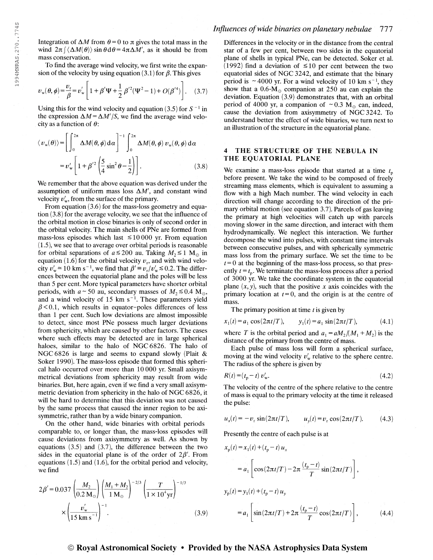Integration of  $\Delta M$  from  $\theta = 0$  to  $\pi$  gives the total mass in the wind  $2\pi \int \langle \Delta M(\theta) \rangle \sin \theta d\theta = 4\pi \Delta M'$ , as it should be from mass conservation.

To find the average wind velocity, we first write the expansion of the velocity by using equation (3.1) for  $\beta$ . This gives

$$
v_{\rm w}(\theta,\phi) = \frac{v_{\rm r}}{\beta} = v_{\rm w}' \left[ 1 + \beta' \Psi + \frac{1}{2} \beta'^2 (\Psi^2 - 1) + O(\beta'^4) \right]. \tag{3.7}
$$

Using this for the wind velocity and equation (3.5) for  $S^{-1}$  in the expression  $\Delta M = \Delta M'/S$ , we find the average wind velocity as a function of  $\theta$ :

$$
\langle v_{\mathbf{w}}(\theta) \rangle = \left[ \int_0^{2\pi} \Delta M(\theta, \phi) \, \mathrm{d}\alpha \right]^{-1} \int_0^{2\pi} \Delta M(\theta, \phi) \, v_{\mathbf{w}}(\theta, \phi) \, \mathrm{d}\alpha
$$

$$
= v_{\mathbf{w}}' \left[ 1 + \beta'^2 \left( \frac{5}{4} \sin^2 \theta - \frac{1}{2} \right) \right]. \tag{3.8}
$$

We remember that the above equation was derived under the assumption of uniform mass loss  $\Delta M'$ , and constant wind velocity  $v'_w$ , from the surface of the primary.

From equation (3.6) for the mass-loss geometry and equation (3.8) for the average velocity, we see that the influence of the orbital motion in close binaries is only of second order in the orbital velocity. The main shells of PNe are formed from mass-loss episodes which last  $\leq 10000$  yr. From equation (1.5), we see that to average over orbital periods is reasonable for orbital separations of  $a \le 200$  au. Taking  $M_2 \le 1$  M<sub>o</sub> in equation (1.6) for the orbital velocity  $v_r$ , and with wind veloequation (1.6) for the orbital velocity  $v_r$ , and with wind velocity  $v'_w \approx 10 \text{ km s}^{-1}$ , we find that  $\beta' \equiv v_r/v'_w \approx 0.2$ . The differences between the equatorial plane and the poles will be less than 5 per cent. More typical parameters have shorter orbital periods, with  $a \sim 50$  au, secondary masses of  $M_2 \le 0.4$  M<sub>o</sub>, periods, with  $a \sim 50$  au, secondary masses of  $M_2 \approx 0.4$  M<sub>o</sub>, and a wind velocity of 15 km s<sup>-1</sup>. These parameters yield  $\beta$  < 0.1, which results in equator-poles differences of less than <sup>1</sup> per cent. Such low deviations are almost impossible to detect, since most PNe possess much larger deviations from sphericity, which are caused by other factors. The cases where such effects may be detected are in large spherical haloes, similar to the halo of NGC6826. The halo of NGC6826 is large and seems to expand slowly (Plait & Soker 1990). The mass-loss episode that formed this spherical halo occurred over more than 10 000 yr. Small axisymmetrical deviations from sphericity may result from wide binaries. But, here again, even if we find a very small axisymmetric deviation from sphericity in the halo of NGC 6826, it will be hard to determine that this deviation was not caused by the same process that caused the inner region to be axisymmetric, rather than by a wide binary companion.

On the other hand, wide binaries with orbital periods comparable to, or longer than, the mass-loss episodes will cause deviations from axisymmetry as well. As shown by equations (3.5) and (3.7), the difference between the two sides in the equatorial plane is of the order of  $2\beta'$ . From equations (1.5) and (1.6), for the orbital period and velocity, we find

$$
2\beta' = 0.037 \left(\frac{M_2}{0.2 \text{ M}_\odot}\right) \left(\frac{M_1 + M_2}{1 \text{ M}_\odot}\right)^{-2/3} \left(\frac{T}{1 \times 10^4 \text{yr}}\right)^{-1/3} \times \left(\frac{v_w'}{15 \text{ km s}^{-1}}\right)^{-1}.
$$
 (3.9)

## Influences of wide binaries on planetary nebulae 777

Differences in the velocity or in the distance from the central star of a few per cent, between two sides in the equatorial plane of shells in typical PNe, can be detected. Soker et al. (1992) find a deviation of  $\leq 10$  per cent between the two equatorial sides of NGC 3242, and estimate that the binary equatorial sides of NGC 3242, and estimate that the binary<br>period is  $\sim$  4000 yr. For a wind velocity of 10 km s<sup>-1</sup>, they show that a  $0.6\text{-M}_{\odot}$  companion at 250 au can explain the deviation. Equation (3.9) demonstrates that, with an orbital period of 4000 yr, a companion of  $\sim$  0.3 M<sub>o</sub> can, indeed, cause the deviation from axisymmetry of NGC 3242. To understand better the effect of wide binaries, we turn next to an illustration of the structure in the equatorial plane.

### 4 THE STRUCTURE OF THE NEBULA IN THE EQUATORIAL PLANE

We examine a mass-loss episode that started at a time  $t<sub>p</sub>$ before present. We take the wind to be composed of freely streaming mass elements, which is equivalent to assuming a flow with a high Mach number. The wind velocity in each direction will change according to the direction of the primary orbital motion (see equation 3.7). Parcels of gas leaving the primary at high velocities will catch up with parcels moving slower in the same direction, and interact with them hydrodynamically. We neglect this interaction. We further decompose the wind into pulses, with constant time intervals between consecutive pulses, and with spherically symmetric mass loss from the primary surface. We set the time to be  $t=0$  at the beginning of the mass-loss process, so that presently  $t = t<sub>p</sub>$ . We terminate the mass-loss process after a period of 3000 yr. We take the coordinate system in the equatorial plane  $(x, y)$ , such that the positive x axis coincides with the primary location at  $t=0$ , and the origin is at the centre of mass.

The primary position at time  $t$  is given by

 $x_1(t) = a_1 \cos(2\pi t/T), \qquad y_1(t) = a_1 \sin(2\pi t/T), \qquad (4.1)$ 

where T is the orbital period and  $a_1 = aM_2/(M_1 + M_2)$  is the distance of the primary from the centre of mass.

Each pulse of mass loss will form a spherical surface, moving at the wind velocity  $v'_{w}$  relative to the sphere centre. The radius of the sphere is given by

$$
R(t) = (t_p - t) v'_w.
$$
 (4.2)

The velocity of the centre of the sphere relative to the centre of mass is equal to the primary velocity at the time it released the pulse:

$$
u_x(t) = -v_r \sin(2\pi t/T), \qquad u_y(t) = v_r \cos(2\pi t/T). \tag{4.3}
$$

Presently the centre of each pulse is at

$$
x_{p}(t) = x_{1}(t) + (t_{p} - t) u_{x}
$$
  
\n
$$
= a_{1} \left[ \cos(2\pi t/T) - 2\pi \frac{(t_{p} - t)}{T} \sin(2\pi t/T) \right],
$$
  
\n
$$
y_{p}(t) = y_{1}(t) + (t_{p} - t) u_{y}
$$
  
\n
$$
= a_{1} \left[ \sin(2\pi t/T) + 2\pi \frac{(t_{p} - t)}{T} \cos(2\pi t/T) \right],
$$
\n(4.4)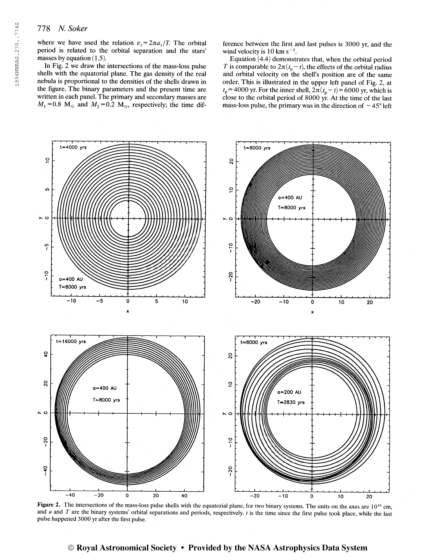where we have used the relation  $v_r = 2\pi a_1/T$ . The orbital period is related to the orbital separation and the stars' masses by equation  $(1.5)$ .

In Fig. 2 we draw the intersections of the mass-loss pulse shells with the equatorial plane. The gas density of the real nebula is proportional to the densities of the shells drawn in the figure. The binary parameters and the present time are written in each panel. The primary and secondary masses are  $M_1 = 0.8$  M<sub>\o</sub> and  $M_2 = 0.2$  M<sub>\ouq</sub>, respectively; the time difference between the first and last pulses is 3000 yr, and the wind velocity is  $10 \text{ km s}^{-1}$ .

Equation (4.4) demonstrates that, when the orbital period T is comparable to  $2\pi(t_p-t)$ , the effects of the orbital radius and orbital velocity on the shell's position are of the same order. This is illustrated in the upper left panel of Fig. 2, at  $t_p$  = 4000 yr. For the inner shell,  $2\pi(t_p - t) \approx 6000$  yr, which is close to the orbital period of 8000 yr. At the time of the last mass-loss pulse, the primary was in the direction of  $\sim$  45 $^{\circ}$  left



**Figure 2.** The intersections of the mass-loss pulse shells with the equatorial plane, for two binary systems. The units on the axes are  $10^{16}$  cm and  $a$  and  $T$  are the binary systems' orbital separations and periods, respectively.  $t$  is the time since the first pulse took place, while the last pulse happened 3000 yr after the first pulse.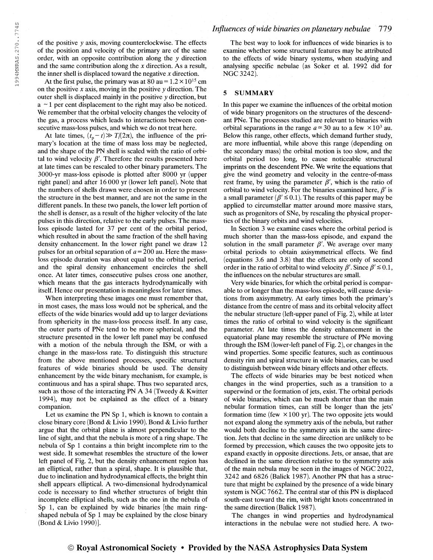of the positive y axis, moving counterclockwise. The effects of the position and velocity of the primary are of the same order, with an opposite contribution along the y direction and the same contribution along the  $x$  direction. As a result, the inner shell is displaced toward the negative  $x$  direction.

At the first pulse, the primary was at  $80$  au =  $1.2 \times 10^{15}$  cm on the positive  $x$  axis, moving in the positive  $y$  direction. The outer shell is displaced mainly in the positive y direction, but  $a \sim 1$  per cent displacement to the right may also be noticed. We remember that the orbital velocity changes the velocity of the gas, a process which leads to interactions between consecutive mass-loss pulses, and which we do not treat here.

At late times,  $(t_p - t) \gg T/(2\pi)$ , the influence of the primary's location at the time of mass loss may be neglected, and the shape of the PN shell is scaled with the ratio of orbital to wind velocity  $\beta'$ . Therefore the results presented here at late times can be rescaled to other binary parameters. The 3000-yr mass-loss episode is plotted after 8000 yr (upper right panel) and after 16 000 yr (lower left panel). Note that the numbers of shells drawn were chosen in order to present the structure in the best manner, and are not the same in the different panels. In these two panels, the lower left portion of the shell is denser, as a result of the higher velocity of the late pulses in this direction, relative to the early pulses. The massloss episode lasted for 37 per cent of the orbital period, which resulted in about the same fraction of the shell having density enhancement. In the lower right panel we draw 12 pulses for an orbital separation of  $a = 200$  au. Here the massloss episode duration was about equal to the orbital period, and the spiral density enhancement encircles the shell once. At later times, consecutive pulses cross one another, which means that the gas interacts hydrodynamically with itself. Hence our presentation is meaningless for later times.

When interpreting these images one must remember that, in most cases, the mass loss would not be spherical, and the effects of the wide binaries would add up to larger deviations from sphericity in the mass-loss process itself. In any case, the outer parts of PNe tend to be more spherical, and the structure presented in the lower left panel may be confused with a motion of the nebula through the ISM, or with a change in the mass-loss rate. To distinguish this structure from the above mentioned processes, specific structural features of wide binaries should be used. The density enhancement by the wide binary mechanism, for example, is continuous and has a spiral shape. Thus two separated arcs, such as those of the interacting PN A 34 (Tweedy & Kwitter 1994), may not be explained as the effect of a binary companion.

Let us examine the PN Sp 1, which is known to contain a close binary core (Bond & Livio 1990). Bond & Livio further argue that the orbital plane is almost perpendicular to the line of sight, and that the nebula is more of a ring shape. The nebula of Sp <sup>1</sup> contains a thin bright incomplete rim to the west side. It somewhat resembles the structure of the lower left panel of Fig. 2, but the density enhancement region has an elliptical, rather than a spiral, shape. It is plausible that, due to inclination and hydrodynamical effects, the bright thin shell appears elliptical. A two-dimensional hydrodynamical code is necessary to find whether structures of bright thin incomplete elliptical shells, such as the one in the nebula of Sp 1, can be explained by wide binaries [the main ringshaped nebula of Sp <sup>1</sup> may be explained by the close binary (Bond & Livio 1990)].

The best way to look for influences of wide binaries is to examine whether some structural features may be attributed to the effects of wide binary systems, when studying and analysing specific nebulae (as Soker et al. 1992 did for NGC3242).

#### 5 SUMMARY

In this paper we examine the influences of the orbital motion of wide binary progenitors on the structures of the descendant PNe. The processes studied are relevant to binaries with orbital separations in the range  $a \approx 30$  au to a few  $\times 10^3$  au. Below this range, other effects, which demand further study, are more influential, while above this range (depending on the secondary mass) the orbital motion is too slow, and the orbital period too long, to cause noticeable structural imprints on the descendent PNe. We write the equations that give the wind geometry and velocity in the centre-of-mass rest frame, by using the parameter  $\beta'$ , which is the ratio of orbital to wind velocity. For the binaries examined here,  $\beta'$  is a small parameter ( $\beta' \le 0.1$ ). The results of this paper may be applied to circumstellar matter around more massive stars, such as progenitors of SNe, by rescaling the physical properties of the binary orbits and wind velocities.

In Section 3 we examine cases where the orbital period is much shorter than the mass-loss episode, and expand the solution in the small parameter  $\beta'$ . We average over many orbital periods to obtain axisymmetrical effects. We find (equations 3.6 and 3.8) that the effects are only of second order in the ratio of orbital to wind velocity  $\beta'$ . Since  $\beta' \le 0.1$ , the influences on the nebular structures are small.

Very wide binaries, for which the orbital period is comparable to or longer than the mass-loss episode, will cause deviations from axisymmetry. At early times both the primary's distance from the centre of mass and its orbital velocity affect the nebular structure (left-upper panel of Fig. 2), while at later times the ratio of orbital to wind velocity is the significant parameter. At late times the density enhancement in the equatorial plane may resemble the structure of PNe moving through the ISM (lower-left panel of Fig. 2), or changes in the wind properties. Some specific features, such as continuous density rim and spiral structure in wide binaries, can be used to distinguish between wide binary effects and other effects.

The effects of wide binaries may be best noticed when changes in the wind properties, such as a transition to a superwind or the formation of jets, exist. The orbital periods of wide binaries, which can be much shorter than the main nebular formation times, can still be longer than the jets' formation time (few  $\times 100$  yr). The two opposite jets would not expand along the symmetry axis of the nebula, but rather would both decline to the symmetry axis in the same direction. Jets that decline in the same direction are unlikely to be formed by precession, which causes the two opposite jets to expand exactly in opposite directions. Jets, or ansae, that are declined in the same direction relative to the symmetry axis of the main nebula may be seen in the images of NGC 2022, 3242 and 6826 (Balick 1987). Another PN that has a structure that might be explained by the presence of a wide binary system is NGC 7662. The central star of this PN is displaced south-east toward the rim, with bright knots concentrated in the same direction (Balick 1987).

The changes in wind properties and hydrodynamical interactions in the nebulae were not studied here. A two-